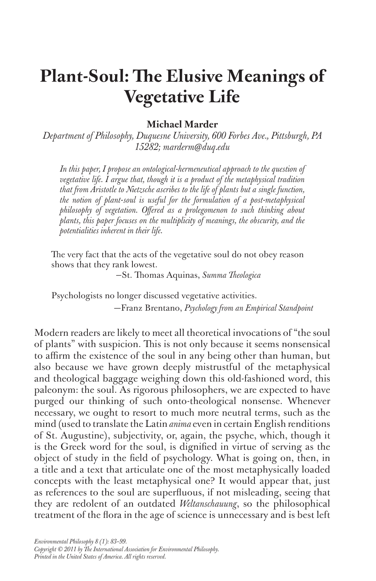# **Plant-Soul: The Elusive Meanings of Vegetative Life**

### **Michael Marder**

*Department of Philosophy, Duquesne University, 600 Forbes Ave., Pittsburgh, PA 15282; marderm@duq.edu*

*In this paper, I propose an ontological-hermeneutical approach to the question of vegetative life. I argue that, though it is a product of the metaphysical tradition that from Aristotle to Nietzsche ascribes to the life of plants but a single function, the notion of plant-soul is useful for the formulation of a post-metaphysical philosophy of vegetation. Offered as a prolegomenon to such thinking about plants, this paper focuses on the multiplicity of meanings, the obscurity, and the potentialities inherent in their life.*

The very fact that the acts of the vegetative soul do not obey reason shows that they rank lowest.

 *—*St. Thomas Aquinas, *Summa Theologica* 

Psychologists no longer discussed vegetative activities. —Franz Brentano, *Psychology from an Empirical Standpoint*

Modern readers are likely to meet all theoretical invocations of "the soul of plants" with suspicion. This is not only because it seems nonsensical to affirm the existence of the soul in any being other than human, but also because we have grown deeply mistrustful of the metaphysical and theological baggage weighing down this old-fashioned word, this paleonym: the soul. As rigorous philosophers, we are expected to have purged our thinking of such onto-theological nonsense. Whenever necessary, we ought to resort to much more neutral terms, such as the mind (used to translate the Latin *anima* even in certain English renditions of St. Augustine), subjectivity, or, again, the psyche, which, though it is the Greek word for the soul, is dignified in virtue of serving as the object of study in the field of psychology. What is going on, then, in a title and a text that articulate one of the most metaphysically loaded concepts with the least metaphysical one? It would appear that, just as references to the soul are superfluous, if not misleading, seeing that they are redolent of an outdated *Weltanschauung*, so the philosophical treatment of the flora in the age of science is unnecessary and is best left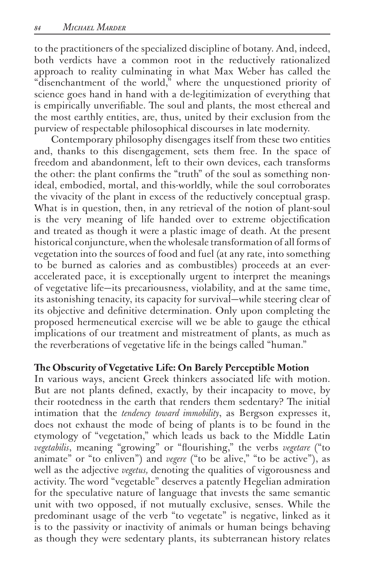to the practitioners of the specialized discipline of botany. And, indeed, both verdicts have a common root in the reductively rationalized approach to reality culminating in what Max Weber has called the "disenchantment of the world," where the unquestioned priority of science goes hand in hand with a de-legitimization of everything that is empirically unverifiable. The soul and plants, the most ethereal and the most earthly entities, are, thus, united by their exclusion from the purview of respectable philosophical discourses in late modernity.

Contemporary philosophy disengages itself from these two entities and, thanks to this disengagement, sets them free. In the space of freedom and abandonment, left to their own devices, each transforms the other: the plant confirms the "truth" of the soul as something nonideal, embodied, mortal, and this-worldly, while the soul corroborates the vivacity of the plant in excess of the reductively conceptual grasp. What is in question, then, in any retrieval of the notion of plant-soul is the very meaning of life handed over to extreme objectification and treated as though it were a plastic image of death. At the present historical conjuncture, when the wholesale transformation of all forms of vegetation into the sources of food and fuel (at any rate, into something to be burned as calories and as combustibles) proceeds at an everaccelerated pace, it is exceptionally urgent to interpret the meanings of vegetative life—its precariousness, violability, and at the same time, its astonishing tenacity, its capacity for survival—while steering clear of its objective and definitive determination. Only upon completing the proposed hermeneutical exercise will we be able to gauge the ethical implications of our treatment and mistreatment of plants, as much as the reverberations of vegetative life in the beings called "human."

## **The Obscurity of Vegetative Life: On Barely Perceptible Motion**

In various ways, ancient Greek thinkers associated life with motion. But are not plants defined, exactly, by their incapacity to move, by their rootedness in the earth that renders them sedentary? The initial intimation that the *tendency toward immobility*, as Bergson expresses it, does not exhaust the mode of being of plants is to be found in the etymology of "vegetation," which leads us back to the Middle Latin *vegetabilis*, meaning "growing" or "flourishing," the verbs *vegetare* ("to animate" or "to enliven") and *vegere* ("to be alive," "to be active"), as well as the adjective *vegetus,* denoting the qualities of vigorousness and activity. The word "vegetable" deserves a patently Hegelian admiration for the speculative nature of language that invests the same semantic unit with two opposed, if not mutually exclusive, senses. While the predominant usage of the verb "to vegetate" is negative, linked as it is to the passivity or inactivity of animals or human beings behaving as though they were sedentary plants, its subterranean history relates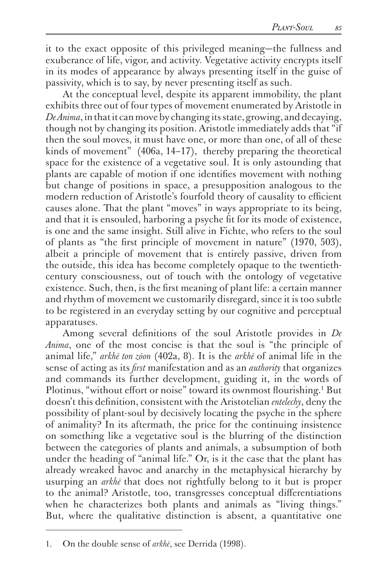it to the exact opposite of this privileged meaning—the fullness and exuberance of life, vigor, and activity. Vegetative activity encrypts itself in its modes of appearance by always presenting itself in the guise of passivity, which is to say, by never presenting itself as such.

At the conceptual level, despite its apparent immobility, the plant exhibits three out of four types of movement enumerated by Aristotle in *De Anima*, in that it can move by changing its state, growing, and decaying, though not by changing its position. Aristotle immediately adds that "if then the soul moves, it must have one, or more than one, of all of these kinds of movement" (406a, 14–17), thereby preparing the theoretical space for the existence of a vegetative soul. It is only astounding that plants are capable of motion if one identifies movement with nothing but change of positions in space, a presupposition analogous to the modern reduction of Aristotle's fourfold theory of causality to efficient causes alone. That the plant "moves" in ways appropriate to its being, and that it is ensouled, harboring a psyche fit for its mode of existence, is one and the same insight. Still alive in Fichte, who refers to the soul of plants as "the first principle of movement in nature" (1970, 503), albeit a principle of movement that is entirely passive, driven from the outside, this idea has become completely opaque to the twentiethcentury consciousness, out of touch with the ontology of vegetative existence. Such, then, is the first meaning of plant life: a certain manner and rhythm of movement we customarily disregard, since it is too subtle to be registered in an everyday setting by our cognitive and perceptual apparatuses.

Among several definitions of the soul Aristotle provides in *De Anima*, one of the most concise is that the soul is "the principle of animal life," *arkhē ton zōon* (402a, 8). It is the *arkhē* of animal life in the sense of acting as its *first* manifestation and as an *authority* that organizes and commands its further development, guiding it, in the words of Plotinus, "without effort or noise" toward its ownmost flourishing.<sup>1</sup> But doesn't this definition, consistent with the Aristotelian *entelechy*, deny the possibility of plant-soul by decisively locating the psyche in the sphere of animality? In its aftermath, the price for the continuing insistence on something like a vegetative soul is the blurring of the distinction between the categories of plants and animals, a subsumption of both under the heading of "animal life." Or, is it the case that the plant has already wreaked havoc and anarchy in the metaphysical hierarchy by usurping an *arkhē* that does not rightfully belong to it but is proper to the animal? Aristotle, too, transgresses conceptual differentiations when he characterizes both plants and animals as "living things." But, where the qualitative distinction is absent, a quantitative one

<sup>1.</sup> On the double sense of *arkhē*, see Derrida (1998).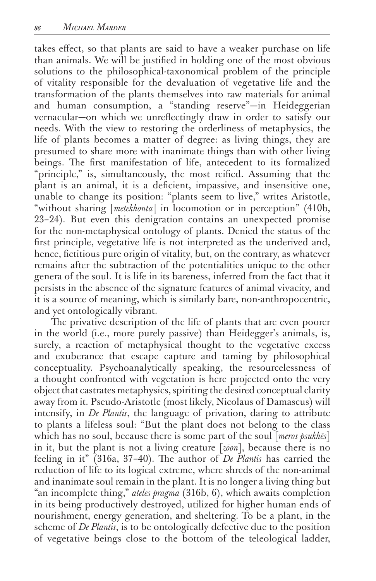takes effect, so that plants are said to have a weaker purchase on life than animals. We will be justified in holding one of the most obvious solutions to the philosophical-taxonomical problem of the principle of vitality responsible for the devaluation of vegetative life and the transformation of the plants themselves into raw materials for animal and human consumption, a "standing reserve"—in Heideggerian vernacular—on which we unreflectingly draw in order to satisfy our needs. With the view to restoring the orderliness of metaphysics, the life of plants becomes a matter of degree: as living things, they are presumed to share more with inanimate things than with other living beings. The first manifestation of life, antecedent to its formalized "principle," is, simultaneously, the most reified. Assuming that the plant is an animal, it is a deficient, impassive, and insensitive one, unable to change its position: "plants seem to live," writes Aristotle, "without sharing [*metekhonta*] in locomotion or in perception" (410b, 23–24). But even this denigration contains an unexpected promise for the non-metaphysical ontology of plants. Denied the status of the first principle, vegetative life is not interpreted as the underived and, hence, fictitious pure origin of vitality, but, on the contrary, as whatever remains after the subtraction of the potentialities unique to the other genera of the soul. It is life in its bareness, inferred from the fact that it persists in the absence of the signature features of animal vivacity, and it is a source of meaning, which is similarly bare, non-anthropocentric, and yet ontologically vibrant.

The privative description of the life of plants that are even poorer in the world (i.e., more purely passive) than Heidegger's animals, is, surely, a reaction of metaphysical thought to the vegetative excess and exuberance that escape capture and taming by philosophical conceptuality. Psychoanalytically speaking, the resourcelessness of a thought confronted with vegetation is here projected onto the very object that castrates metaphysics, spiriting the desired conceptual clarity away from it. Pseudo-Aristotle (most likely, Nicolaus of Damascus) will intensify, in *De Plantis*, the language of privation, daring to attribute to plants a lifeless soul: "But the plant does not belong to the class which has no soul, because there is some part of the soul [*meros psukhēs*] in it, but the plant is not a living creature [*zōon*], because there is no feeling in it" (316a, 37–40). The author of *De Plantis* has carried the reduction of life to its logical extreme, where shreds of the non-animal and inanimate soul remain in the plant. It is no longer a living thing but "an incomplete thing," *ateles pragma* (316b, 6), which awaits completion in its being productively destroyed, utilized for higher human ends of nourishment, energy generation, and sheltering. To be a plant, in the scheme of *De Plantis*, is to be ontologically defective due to the position of vegetative beings close to the bottom of the teleological ladder,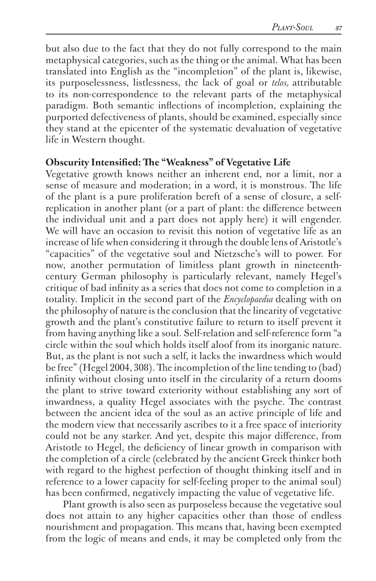but also due to the fact that they do not fully correspond to the main metaphysical categories, such as the thing or the animal. What has been translated into English as the "incompletion" of the plant is, likewise, its purposelessness, listlessness, the lack of goal or *telos,* attributable to its non-correspondence to the relevant parts of the metaphysical paradigm. Both semantic inflections of incompletion, explaining the purported defectiveness of plants, should be examined, especially since they stand at the epicenter of the systematic devaluation of vegetative life in Western thought.

### **Obscurity Intensified: The "Weakness" of Vegetative Life**

Vegetative growth knows neither an inherent end, nor a limit, nor a sense of measure and moderation; in a word, it is monstrous. The life of the plant is a pure proliferation bereft of a sense of closure, a selfreplication in another plant (or a part of plant: the difference between the individual unit and a part does not apply here) it will engender. We will have an occasion to revisit this notion of vegetative life as an increase of life when considering it through the double lens of Aristotle's "capacities" of the vegetative soul and Nietzsche's will to power. For now, another permutation of limitless plant growth in nineteenthcentury German philosophy is particularly relevant, namely Hegel's critique of bad infinity as a series that does not come to completion in a totality. Implicit in the second part of the *Encyclopaedia* dealing with on the philosophy of nature is the conclusion that the linearity of vegetative growth and the plant's constitutive failure to return to itself prevent it from having anything like a soul. Self-relation and self-reference form "a circle within the soul which holds itself aloof from its inorganic nature. But, as the plant is not such a self, it lacks the inwardness which would be free" (Hegel 2004, 308). The incompletion of the line tending to (bad) infinity without closing unto itself in the circularity of a return dooms the plant to strive toward exteriority without establishing any sort of inwardness, a quality Hegel associates with the psyche. The contrast between the ancient idea of the soul as an active principle of life and the modern view that necessarily ascribes to it a free space of interiority could not be any starker. And yet, despite this major difference, from Aristotle to Hegel, the deficiency of linear growth in comparison with the completion of a circle (celebrated by the ancient Greek thinker both with regard to the highest perfection of thought thinking itself and in reference to a lower capacity for self-feeling proper to the animal soul) has been confirmed, negatively impacting the value of vegetative life.

Plant growth is also seen as purposeless because the vegetative soul does not attain to any higher capacities other than those of endless nourishment and propagation. This means that, having been exempted from the logic of means and ends, it may be completed only from the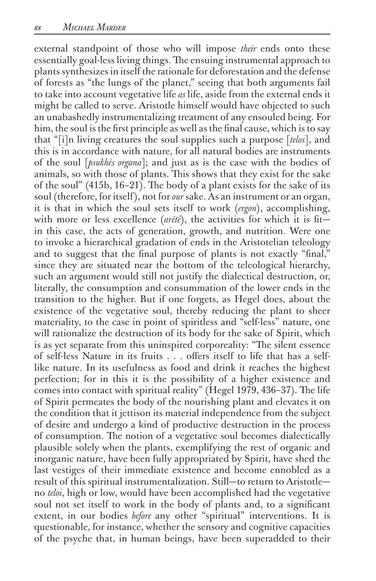external standpoint of those who will impose *their* ends onto these essentially goal-less living things. The ensuing instrumental approach to plants synthesizes in itself the rationale for deforestation and the defense of forests as "the lungs of the planet," seeing that both arguments fail to take into account vegetative life *as* life, aside from the external ends it might be called to serve. Aristotle himself would have objected to such an unabashedly instrumentalizing treatment of any ensouled being. For him, the soul is the first principle as well as the final cause, which is to say that "[i]n living creatures the soul supplies such a purpose [*telos*], and this is in accordance with nature, for all natural bodies are instruments of the soul [*psukhès organa*]; and just as is the case with the bodies of animals, so with those of plants. This shows that they exist for the sake of the soul" (415b, 16–21). The body of a plant exists for the sake of its soul (therefore, for itself), not for *our* sake. As an instrument or an organ, it is that in which the soul sets itself to work (*ergon*), accomplishing, with more or less excellence (*arētè*), the activities for which it is fit in this case, the acts of generation, growth, and nutrition. Were one to invoke a hierarchical gradation of ends in the Aristotelian teleology and to suggest that the final purpose of plants is not exactly "final," since they are situated near the bottom of the teleological hierarchy, such an argument would still not justify the dialectical destruction, or, literally, the consumption and consummation of the lower ends in the transition to the higher. But if one forgets, as Hegel does, about the existence of the vegetative soul, thereby reducing the plant to sheer materiality, to the case in point of spiritless and "self-less" nature, one will rationalize the destruction of its body for the sake of Spirit, which is as yet separate from this uninspired corporeality: "The silent essence of self-less Nature in its fruits . . . offers itself to life that has a selflike nature. In its usefulness as food and drink it reaches the highest perfection; for in this it is the possibility of a higher existence and comes into contact with spiritual reality" (Hegel 1979, 436–37). The life of Spirit permeates the body of the nourishing plant and elevates it on the condition that it jettison its material independence from the subject of desire and undergo a kind of productive destruction in the process of consumption. The notion of a vegetative soul becomes dialectically plausible solely when the plants, exemplifying the rest of organic and inorganic nature, have been fully appropriated by Spirit, have shed the last vestiges of their immediate existence and become ennobled as a result of this spiritual instrumentalization. Still—to return to Aristotle no *teloi*, high or low, would have been accomplished had the vegetative soul not set itself to work in the body of plants and, to a significant extent, in our bodies *before* any other "spiritual" interventions. It is questionable, for instance, whether the sensory and cognitive capacities of the psyche that, in human beings, have been superadded to their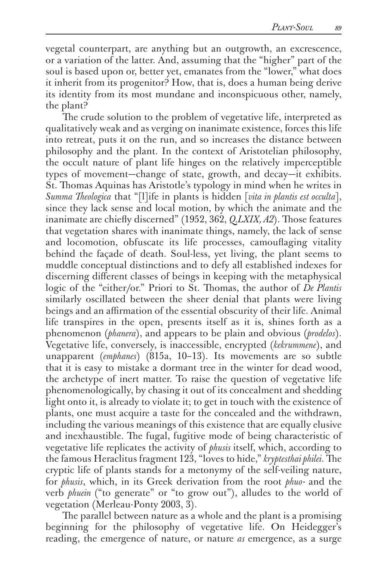vegetal counterpart, are anything but an outgrowth, an excrescence, or a variation of the latter. And, assuming that the "higher" part of the soul is based upon or, better yet, emanates from the "lower," what does it inherit from its progenitor? How, that is, does a human being derive its identity from its most mundane and inconspicuous other, namely, the plant?

The crude solution to the problem of vegetative life, interpreted as qualitatively weak and as verging on inanimate existence, forces this life into retreat, puts it on the run, and so increases the distance between philosophy and the plant. In the context of Aristotelian philosophy, the occult nature of plant life hinges on the relatively imperceptible types of movement—change of state, growth, and decay—it exhibits. St. Thomas Aquinas has Aristotle's typology in mind when he writes in *Summa Theologica* that "[l]ife in plants is hidden [*vita in plantis est occulta*], since they lack sense and local motion, by which the animate and the inanimate are chiefly discerned" (1952, 362, *Q.LXIX, A2*). Those features that vegetation shares with inanimate things, namely, the lack of sense and locomotion, obfuscate its life processes, camouflaging vitality behind the façade of death. Soul-less, yet living, the plant seems to muddle conceptual distinctions and to defy all established indexes for discerning different classes of beings in keeping with the metaphysical logic of the "either/or." Priori to St. Thomas, the author of *De Plantis* similarly oscillated between the sheer denial that plants were living beings and an affirmation of the essential obscurity of their life. Animal life transpires in the open, presents itself as it is, shines forth as a phenomenon (*phanera*), and appears to be plain and obvious (*prodelos*). Vegetative life, conversely, is inaccessible, encrypted (*kekrummene*), and unapparent (*emphanes*) (815a, 10–13). Its movements are so subtle that it is easy to mistake a dormant tree in the winter for dead wood, the archetype of inert matter. To raise the question of vegetative life phenomenologically, by chasing it out of its concealment and shedding light onto it, is already to violate it; to get in touch with the existence of plants, one must acquire a taste for the concealed and the withdrawn, including the various meanings of this existence that are equally elusive and inexhaustible. The fugal, fugitive mode of being characteristic of vegetative life replicates the activity of *phusis* itself, which, according to the famous Heraclitus fragment 123, "loves to hide," *kryptesthai philei*. The cryptic life of plants stands for a metonymy of the self-veiling nature, for *phusis*, which, in its Greek derivation from the root *phuo-* and the verb *phuein* ("to generate" or "to grow out"), alludes to the world of vegetation (Merleau-Ponty 2003, 3).

The parallel between nature as a whole and the plant is a promising beginning for the philosophy of vegetative life. On Heidegger's reading, the emergence of nature, or nature *as* emergence, as a surge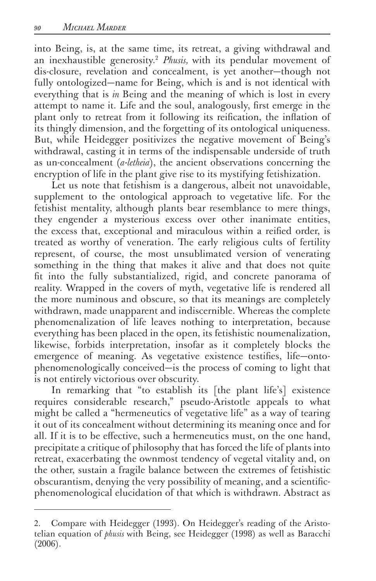into Being, is, at the same time, its retreat, a giving withdrawal and an inexhaustible generosity.2 *Phusis,* with its pendular movement of dis-closure, revelation and concealment, is yet another—though not fully ontologized—name for Being, which is and is not identical with everything that is *in* Being and the meaning of which is lost in every attempt to name it. Life and the soul, analogously, first emerge in the plant only to retreat from it following its reification, the inflation of its thingly dimension, and the forgetting of its ontological uniqueness. But, while Heidegger positivizes the negative movement of Being's withdrawal, casting it in terms of the indispensable underside of truth as un-concealment (*a-letheia*), the ancient observations concerning the encryption of life in the plant give rise to its mystifying fetishization.

Let us note that fetishism is a dangerous, albeit not unavoidable, supplement to the ontological approach to vegetative life. For the fetishist mentality, although plants bear resemblance to mere things, they engender a mysterious excess over other inanimate entities, the excess that, exceptional and miraculous within a reified order, is treated as worthy of veneration. The early religious cults of fertility represent, of course, the most unsublimated version of venerating something in the thing that makes it alive and that does not quite fit into the fully substantialized, rigid, and concrete panorama of reality. Wrapped in the covers of myth, vegetative life is rendered all the more numinous and obscure, so that its meanings are completely withdrawn, made unapparent and indiscernible. Whereas the complete phenomenalization of life leaves nothing to interpretation, because everything has been placed in the open, its fetishistic noumenalization, likewise, forbids interpretation, insofar as it completely blocks the emergence of meaning. As vegetative existence testifies, life—ontophenomenologically conceived—is the process of coming to light that is not entirely victorious over obscurity.

In remarking that "to establish its [the plant life's] existence requires considerable research," pseudo-Aristotle appeals to what might be called a "hermeneutics of vegetative life" as a way of tearing it out of its concealment without determining its meaning once and for all. If it is to be effective, such a hermeneutics must, on the one hand, precipitate a critique of philosophy that has forced the life of plants into retreat, exacerbating the ownmost tendency of vegetal vitality and, on the other, sustain a fragile balance between the extremes of fetishistic obscurantism, denying the very possibility of meaning, and a scientificphenomenological elucidation of that which is withdrawn. Abstract as

<sup>2.</sup> Compare with Heidegger (1993). On Heidegger's reading of the Aristotelian equation of *phusis* with Being, see Heidegger (1998) as well as Baracchi (2006).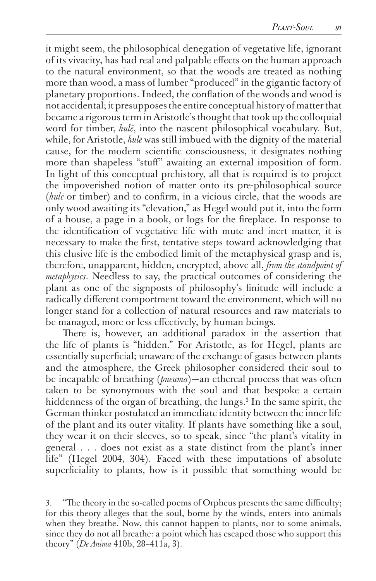it might seem, the philosophical denegation of vegetative life, ignorant of its vivacity, has had real and palpable effects on the human approach to the natural environment, so that the woods are treated as nothing more than wood, a mass of lumber "produced" in the gigantic factory of planetary proportions. Indeed, the conflation of the woods and wood is not accidental; it presupposes the entire conceptual history of matter that became a rigorous term in Aristotle's thought that took up the colloquial word for timber, *hulē*, into the nascent philosophical vocabulary. But, while, for Aristotle, *hulē* was still imbued with the dignity of the material cause, for the modern scientific consciousness, it designates nothing more than shapeless "stuff" awaiting an external imposition of form. In light of this conceptual prehistory, all that is required is to project the impoverished notion of matter onto its pre-philosophical source (*hulē* or timber) and to confirm, in a vicious circle, that the woods are only wood awaiting its "elevation," as Hegel would put it, into the form of a house, a page in a book, or logs for the fireplace. In response to the identification of vegetative life with mute and inert matter, it is necessary to make the first, tentative steps toward acknowledging that this elusive life is the embodied limit of the metaphysical grasp and is, therefore, unapparent, hidden, encrypted, above all, *from the standpoint of metaphysics*. Needless to say, the practical outcomes of considering the plant as one of the signposts of philosophy's finitude will include a radically different comportment toward the environment, which will no longer stand for a collection of natural resources and raw materials to be managed, more or less effectively, by human beings.

There is, however, an additional paradox in the assertion that the life of plants is "hidden." For Aristotle, as for Hegel, plants are essentially superficial; unaware of the exchange of gases between plants and the atmosphere, the Greek philosopher considered their soul to be incapable of breathing (*pneuma*)—an ethereal process that was often taken to be synonymous with the soul and that bespoke a certain hiddenness of the organ of breathing, the lungs.3 In the same spirit, the German thinker postulated an immediate identity between the inner life of the plant and its outer vitality. If plants have something like a soul, they wear it on their sleeves, so to speak, since "the plant's vitality in general . . . does not exist as a state distinct from the plant's inner life" (Hegel 2004, 304). Faced with these imputations of absolute superficiality to plants, how is it possible that something would be

<sup>3.</sup> "The theory in the so-called poems of Orpheus presents the same difficulty; for this theory alleges that the soul, borne by the winds, enters into animals when they breathe. Now, this cannot happen to plants, nor to some animals, since they do not all breathe: a point which has escaped those who support this theory" (*De Anima* 410b, 28–411a, 3).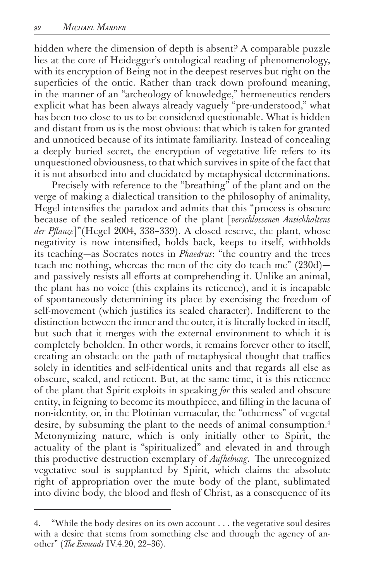hidden where the dimension of depth is absent? A comparable puzzle lies at the core of Heidegger's ontological reading of phenomenology, with its encryption of Being not in the deepest reserves but right on the superficies of the ontic. Rather than track down profound meaning, in the manner of an "archeology of knowledge," hermeneutics renders explicit what has been always already vaguely "pre-understood," what has been too close to us to be considered questionable. What is hidden and distant from us is the most obvious: that which is taken for granted and unnoticed because of its intimate familiarity. Instead of concealing a deeply buried secret, the encryption of vegetative life refers to its unquestioned obviousness, to that which survives in spite of the fact that it is not absorbed into and elucidated by metaphysical determinations.

Precisely with reference to the "breathing" of the plant and on the verge of making a dialectical transition to the philosophy of animality, Hegel intensifies the paradox and admits that this "process is obscure because of the sealed reticence of the plant [*verschlossenen Ansichhaltens der Pflanze*]"(Hegel 2004, 338–339). A closed reserve, the plant, whose negativity is now intensified, holds back, keeps to itself, withholds its teaching—as Socrates notes in *Phaedrus*: "the country and the trees teach me nothing, whereas the men of the city do teach me" (230d) and passively resists all efforts at comprehending it. Unlike an animal, the plant has no voice (this explains its reticence), and it is incapable of spontaneously determining its place by exercising the freedom of self-movement (which justifies its sealed character). Indifferent to the distinction between the inner and the outer, it is literally locked in itself, but such that it merges with the external environment to which it is completely beholden. In other words, it remains forever other to itself, creating an obstacle on the path of metaphysical thought that traffics solely in identities and self-identical units and that regards all else as obscure, sealed, and reticent. But, at the same time, it is this reticence of the plant that Spirit exploits in speaking *for* this sealed and obscure entity, in feigning to become its mouthpiece, and filling in the lacuna of non-identity, or, in the Plotinian vernacular, the "otherness" of vegetal desire, by subsuming the plant to the needs of animal consumption.<sup>4</sup> Metonymizing nature, which is only initially other to Spirit, the actuality of the plant is "spiritualized" and elevated in and through this productive destruction exemplary of *Aufhebung*. The unrecognized vegetative soul is supplanted by Spirit, which claims the absolute right of appropriation over the mute body of the plant, sublimated into divine body, the blood and flesh of Christ, as a consequence of its

<sup>4.</sup> "While the body desires on its own account . . . the vegetative soul desires with a desire that stems from something else and through the agency of another" (*The Enneads* IV.4.20, 22–36).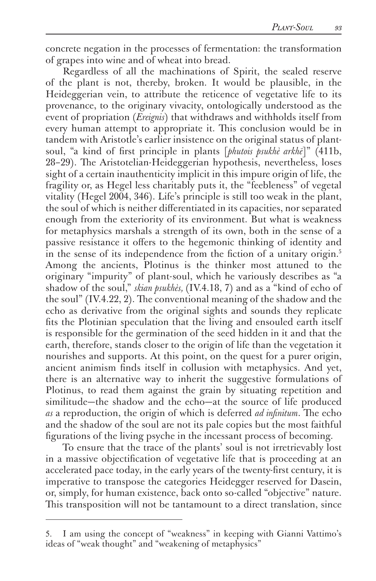concrete negation in the processes of fermentation: the transformation of grapes into wine and of wheat into bread.

Regardless of all the machinations of Spirit, the sealed reserve of the plant is not, thereby, broken. It would be plausible, in the Heideggerian vein, to attribute the reticence of vegetative life to its provenance, to the originary vivacity, ontologically understood as the event of propriation (*Ereignis*) that withdraws and withholds itself from every human attempt to appropriate it. This conclusion would be in tandem with Aristotle's earlier insistence on the original status of plantsoul, "a kind of first principle in plants [*phutois psukhè arkhē*]" (411b, 28–29). The Aristotelian-Heideggerian hypothesis, nevertheless, loses sight of a certain inauthenticity implicit in this impure origin of life, the fragility or, as Hegel less charitably puts it, the "feebleness" of vegetal vitality (Hegel 2004, 346). Life's principle is still too weak in the plant, the soul of which is neither differentiated in its capacities, nor separated enough from the exteriority of its environment. But what is weakness for metaphysics marshals a strength of its own, both in the sense of a passive resistance it offers to the hegemonic thinking of identity and in the sense of its independence from the fiction of a unitary origin.5 Among the ancients, Plotinus is the thinker most attuned to the originary "impurity" of plant-soul, which he variously describes as "a shadow of the soul," *skian psukhès,* (IV.4.18, 7) and as a "kind of echo of the soul" (IV.4.22, 2). The conventional meaning of the shadow and the echo as derivative from the original sights and sounds they replicate fits the Plotinian speculation that the living and ensouled earth itself is responsible for the germination of the seed hidden in it and that the earth, therefore, stands closer to the origin of life than the vegetation it nourishes and supports. At this point, on the quest for a purer origin, ancient animism finds itself in collusion with metaphysics. And yet, there is an alternative way to inherit the suggestive formulations of Plotinus, to read them against the grain by situating repetition and similitude—the shadow and the echo—at the source of life produced *as* a reproduction, the origin of which is deferred *ad infinitum*. The echo and the shadow of the soul are not its pale copies but the most faithful figurations of the living psyche in the incessant process of becoming.

To ensure that the trace of the plants' soul is not irretrievably lost in a massive objectification of vegetative life that is proceeding at an accelerated pace today, in the early years of the twenty-first century, it is imperative to transpose the categories Heidegger reserved for Dasein, or, simply, for human existence, back onto so-called "objective" nature. This transposition will not be tantamount to a direct translation, since

<sup>5.</sup> I am using the concept of "weakness" in keeping with Gianni Vattimo's ideas of "weak thought" and "weakening of metaphysics"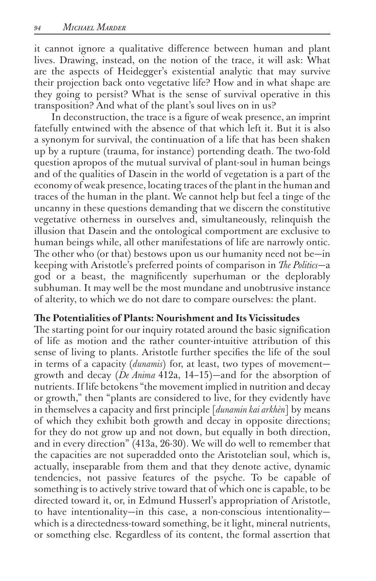it cannot ignore a qualitative difference between human and plant lives. Drawing, instead, on the notion of the trace, it will ask: What are the aspects of Heidegger's existential analytic that may survive their projection back onto vegetative life? How and in what shape are they going to persist? What is the sense of survival operative in this transposition? And what of the plant's soul lives on in us?

In deconstruction, the trace is a figure of weak presence, an imprint fatefully entwined with the absence of that which left it. But it is also a synonym for survival, the continuation of a life that has been shaken up by a rupture (trauma, for instance) portending death. The two-fold question apropos of the mutual survival of plant-soul in human beings and of the qualities of Dasein in the world of vegetation is a part of the economy of weak presence, locating traces of the plant in the human and traces of the human in the plant. We cannot help but feel a tinge of the uncanny in these questions demanding that we discern the constitutive vegetative otherness in ourselves and, simultaneously, relinquish the illusion that Dasein and the ontological comportment are exclusive to human beings while, all other manifestations of life are narrowly ontic. The other who (or that) bestows upon us our humanity need not be—in keeping with Aristotle's preferred points of comparison in *The Politics*—a god or a beast, the magnificently superhuman or the deplorably subhuman. It may well be the most mundane and unobtrusive instance of alterity, to which we do not dare to compare ourselves: the plant.

#### **The Potentialities of Plants: Nourishment and Its Vicissitudes**

The starting point for our inquiry rotated around the basic signification of life as motion and the rather counter-intuitive attribution of this sense of living to plants. Aristotle further specifies the life of the soul in terms of a capacity (*dunamis*) for, at least, two types of movement growth and decay (*De Anima* 412a, 14–15)—and for the absorption of nutrients. If life betokens "the movement implied in nutrition and decay or growth," then "plants are considered to live, for they evidently have in themselves a capacity and first principle [*dunamin kai arkhèn*] by means of which they exhibit both growth and decay in opposite directions; for they do not grow up and not down, but equally in both direction, and in every direction" (413a, 26-30). We will do well to remember that the capacities are not superadded onto the Aristotelian soul, which is, actually, inseparable from them and that they denote active, dynamic tendencies, not passive features of the psyche. To be capable of something is to actively strive toward that of which one is capable, to be directed toward it, or, in Edmund Husserl's appropriation of Aristotle, to have intentionality—in this case, a non-conscious intentionality which is a directedness-toward something, be it light, mineral nutrients, or something else. Regardless of its content, the formal assertion that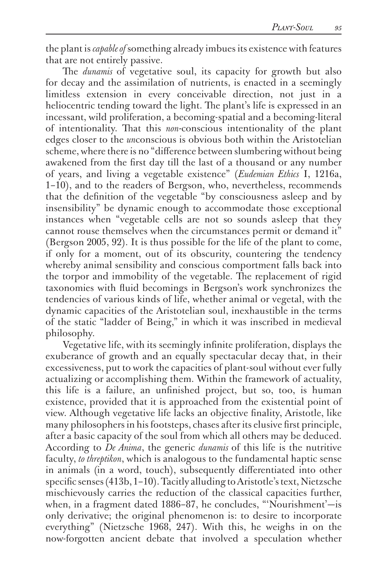the plant is *capable of* something already imbues its existence with features that are not entirely passive.

The *dunamis* of vegetative soul, its capacity for growth but also for decay and the assimilation of nutrients, is enacted in a seemingly limitless extension in every conceivable direction, not just in a heliocentric tending toward the light. The plant's life is expressed in an incessant, wild proliferation, a becoming-spatial and a becoming-literal of intentionality. That this *non-*conscious intentionality of the plant edges closer to the *un*conscious is obvious both within the Aristotelian scheme, where there is no "difference between slumbering without being awakened from the first day till the last of a thousand or any number of years, and living a vegetable existence" (*Eudemian Ethics* I, 1216a, 1–10), and to the readers of Bergson, who, nevertheless, recommends that the definition of the vegetable "by consciousness asleep and by insensibility" be dynamic enough to accommodate those exceptional instances when "vegetable cells are not so sounds asleep that they cannot rouse themselves when the circumstances permit or demand it" (Bergson 2005, 92). It is thus possible for the life of the plant to come, if only for a moment, out of its obscurity, countering the tendency whereby animal sensibility and conscious comportment falls back into the torpor and immobility of the vegetable. The replacement of rigid taxonomies with fluid becomings in Bergson's work synchronizes the tendencies of various kinds of life, whether animal or vegetal, with the dynamic capacities of the Aristotelian soul, inexhaustible in the terms of the static "ladder of Being," in which it was inscribed in medieval philosophy.

Vegetative life, with its seemingly infinite proliferation, displays the exuberance of growth and an equally spectacular decay that, in their excessiveness, put to work the capacities of plant-soul without ever fully actualizing or accomplishing them. Within the framework of actuality, this life is a failure, an unfinished project, but so, too, is human existence, provided that it is approached from the existential point of view. Although vegetative life lacks an objective finality, Aristotle, like many philosophers in his footsteps, chases after its elusive first principle, after a basic capacity of the soul from which all others may be deduced. According to *De Anima*, the generic *dunamis* of this life is the nutritive faculty, *to threptikon*, which is analogous to the fundamental haptic sense in animals (in a word, touch), subsequently differentiated into other specific senses (413b, 1–10). Tacitly alluding to Aristotle's text, Nietzsche mischievously carries the reduction of the classical capacities further, when, in a fragment dated 1886–87, he concludes, "'Nourishment'—is only derivative; the original phenomenon is: to desire to incorporate everything" (Nietzsche 1968, 247). With this, he weighs in on the now-forgotten ancient debate that involved a speculation whether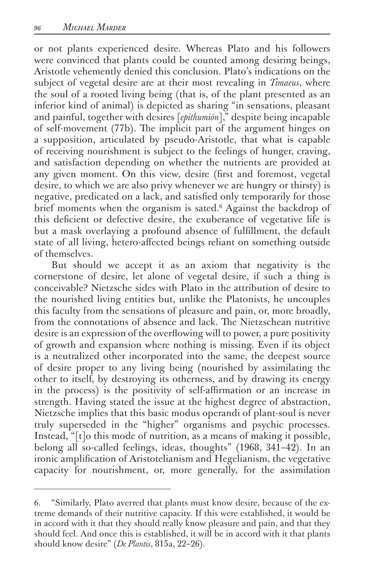or not plants experienced desire. Whereas Plato and his followers were convinced that plants could be counted among desiring beings, Aristotle vehemently denied this conclusion. Plato's indications on the subject of vegetal desire are at their most revealing in *Timaeus*, where the soul of a rooted living being (that is, of the plant presented as an inferior kind of animal) is depicted as sharing "in sensations, pleasant and painful, together with desires [*epithumiōn*]," despite being incapable of self-movement (77b). The implicit part of the argument hinges on a supposition, articulated by pseudo-Aristotle, that what is capable of receiving nourishment is subject to the feelings of hunger, craving, and satisfaction depending on whether the nutrients are provided at any given moment. On this view, desire (first and foremost, vegetal desire, to which we are also privy whenever we are hungry or thirsty) is negative, predicated on a lack, and satisfied only temporarily for those brief moments when the organism is sated.<sup>6</sup> Against the backdrop of this deficient or defective desire, the exuberance of vegetative life is but a mask overlaying a profound absence of fulfillment, the default state of all living, hetero-affected beings reliant on something outside of themselves.

But should we accept it as an axiom that negativity is the cornerstone of desire, let alone of vegetal desire, if such a thing is conceivable? Nietzsche sides with Plato in the attribution of desire to the nourished living entities but, unlike the Platonists, he uncouples this faculty from the sensations of pleasure and pain, or, more broadly, from the connotations of absence and lack. The Nietzschean nutritive desire is an expression of the overflowing will to power, a pure positivity of growth and expansion where nothing is missing. Even if its object is a neutralized other incorporated into the same, the deepest source of desire proper to any living being (nourished by assimilating the other to itself, by destroying its otherness, and by drawing its energy in the process) is the positivity of self-affirmation or an increase in strength. Having stated the issue at the highest degree of abstraction, Nietzsche implies that this basic modus operandi of plant-soul is never truly superseded in the "higher" organisms and psychic processes. Instead, "[t]o this mode of nutrition, as a means of making it possible, belong all so-called feelings, ideas, thoughts" (1968, 341-42). In an ironic amplification of Aristotelianism and Hegelianism, the vegetative capacity for nourishment, or, more generally, for the assimilation

<sup>6.</sup> "Similarly, Plato averred that plants must know desire, because of the extreme demands of their nutritive capacity. If this were established, it would be in accord with it that they should really know pleasure and pain, and that they should feel. And once this is established, it will be in accord with it that plants should know desire" (*De Plantis*, 815a, 22–26).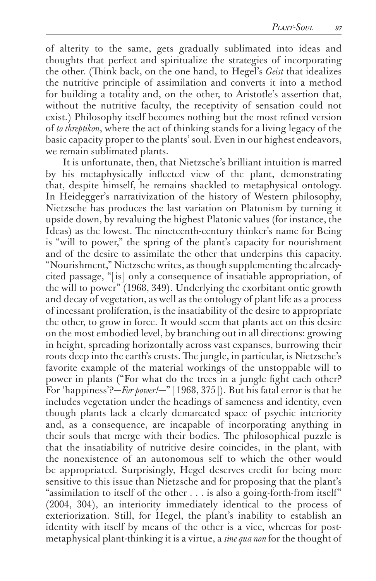of alterity to the same, gets gradually sublimated into ideas and thoughts that perfect and spiritualize the strategies of incorporating the other. (Think back, on the one hand, to Hegel's *Geist* that idealizes the nutritive principle of assimilation and converts it into a method for building a totality and, on the other, to Aristotle's assertion that, without the nutritive faculty, the receptivity of sensation could not exist.) Philosophy itself becomes nothing but the most refined version of *to threptikon*, where the act of thinking stands for a living legacy of the basic capacity proper to the plants' soul. Even in our highest endeavors, we remain sublimated plants.

It is unfortunate, then, that Nietzsche's brilliant intuition is marred by his metaphysically inflected view of the plant, demonstrating that, despite himself, he remains shackled to metaphysical ontology. In Heidegger's narrativization of the history of Western philosophy, Nietzsche has produces the last variation on Platonism by turning it upside down, by revaluing the highest Platonic values (for instance, the Ideas) as the lowest. The nineteenth-century thinker's name for Being is "will to power," the spring of the plant's capacity for nourishment and of the desire to assimilate the other that underpins this capacity. "Nourishment," Nietzsche writes, as though supplementing the alreadycited passage, "[is] only a consequence of insatiable appropriation, of the will to power" (1968, 349). Underlying the exorbitant ontic growth and decay of vegetation, as well as the ontology of plant life as a process of incessant proliferation, is the insatiability of the desire to appropriate the other, to grow in force. It would seem that plants act on this desire on the most embodied level, by branching out in all directions: growing in height, spreading horizontally across vast expanses, burrowing their roots deep into the earth's crusts. The jungle, in particular, is Nietzsche's favorite example of the material workings of the unstoppable will to power in plants ("For what do the trees in a jungle fight each other? For 'happiness'?—*For power!*—" [1968, 375]). But his fatal error is that he includes vegetation under the headings of sameness and identity, even though plants lack a clearly demarcated space of psychic interiority and, as a consequence, are incapable of incorporating anything in their souls that merge with their bodies. The philosophical puzzle is that the insatiability of nutritive desire coincides, in the plant, with the nonexistence of an autonomous self to which the other would be appropriated. Surprisingly, Hegel deserves credit for being more sensitive to this issue than Nietzsche and for proposing that the plant's "assimilation to itself of the other . . . is also a going-forth-from itself" (2004, 304), an interiority immediately identical to the process of exteriorization. Still, for Hegel, the plant's inability to establish an identity with itself by means of the other is a vice, whereas for postmetaphysical plant-thinking it is a virtue, a *sine qua non* for the thought of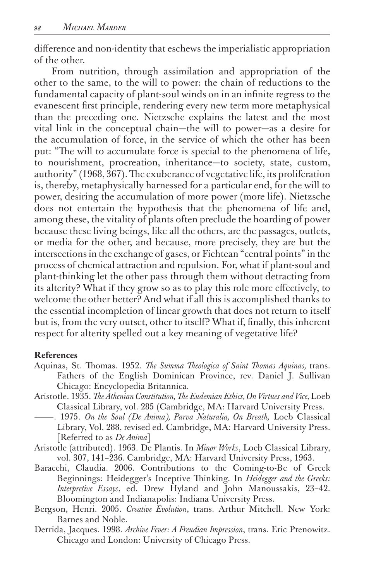difference and non-identity that eschews the imperialistic appropriation of the other.

From nutrition, through assimilation and appropriation of the other to the same, to the will to power: the chain of reductions to the fundamental capacity of plant-soul winds on in an infinite regress to the evanescent first principle, rendering every new term more metaphysical than the preceding one. Nietzsche explains the latest and the most vital link in the conceptual chain—the will to power—as a desire for the accumulation of force, in the service of which the other has been put: "The will to accumulate force is special to the phenomena of life, to nourishment, procreation, inheritance—to society, state, custom, authority" (1968, 367). The exuberance of vegetative life, its proliferation is, thereby, metaphysically harnessed for a particular end, for the will to power, desiring the accumulation of more power (more life). Nietzsche does not entertain the hypothesis that the phenomena of life and, among these, the vitality of plants often preclude the hoarding of power because these living beings, like all the others, are the passages, outlets, or media for the other, and because, more precisely, they are but the intersections in the exchange of gases, or Fichtean "central points" in the process of chemical attraction and repulsion. For, what if plant-soul and plant-thinking let the other pass through them without detracting from its alterity? What if they grow so as to play this role more effectively, to welcome the other better? And what if all this is accomplished thanks to the essential incompletion of linear growth that does not return to itself but is, from the very outset, other to itself? What if, finally, this inherent respect for alterity spelled out a key meaning of vegetative life?

#### **References**

- Aquinas, St. Thomas. 1952. *The Summa Theologica of Saint Thomas Aquinas,* trans. Fathers of the English Dominican Province, rev. Daniel J. Sullivan Chicago: Encyclopedia Britannica.
- Aristotle. 1935. *The Athenian Constitution, The Eudemian Ethics, On Virtues and Vice,* Loeb Classical Library, vol. 285 (Cambridge, MA: Harvard University Press.
- ———. 1975. *On the Soul (De Anima), Parva Naturalia, On Breath,* Loeb Classical Library, Vol. 288, revised ed. Cambridge, MA: Harvard University Press. [Referred to as *De Anima*]
- Aristotle (attributed). 1963. De Plantis. In *Minor Works*, Loeb Classical Library, vol. 307, 141–236. Cambridge, MA: Harvard University Press, 1963.
- Baracchi, Claudia. 2006. Contributions to the Coming-to-Be of Greek Beginnings: Heidegger's Inceptive Thinking. In *Heidegger and the Greeks: Interpretive Essays*, ed. Drew Hyland and John Manoussakis, 23–42. Bloomington and Indianapolis: Indiana University Press.
- Bergson, Henri. 2005. *Creative Evolution*, trans. Arthur Mitchell. New York: Barnes and Noble.
- Derrida, Jacques. 1998. *Archive Fever: A Freudian Impression*, trans. Eric Prenowitz. Chicago and London: University of Chicago Press.